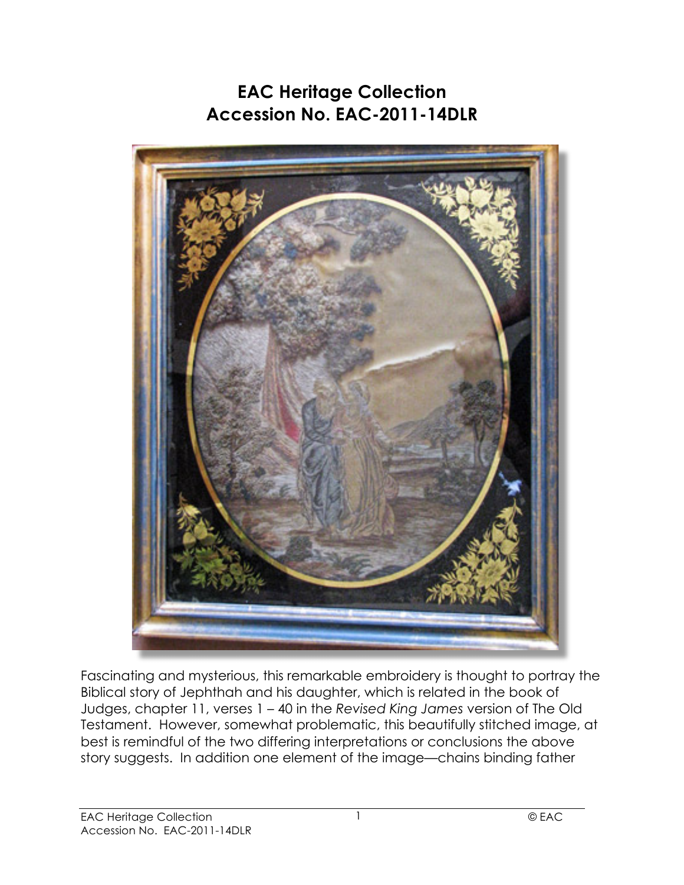## **EAC Heritage Collection Accession No. EAC-2011-14DLR**



Fascinating and mysterious, this remarkable embroidery is thought to portray the Biblical story of Jephthah and his daughter, which is related in the book of Judges, chapter 11, verses 1 – 40 in the *Revised King James* version of The Old Testament. However, somewhat problematic, this beautifully stitched image, at best is remindful of the two differing interpretations or conclusions the above story suggests. In addition one element of the image—chains binding father

1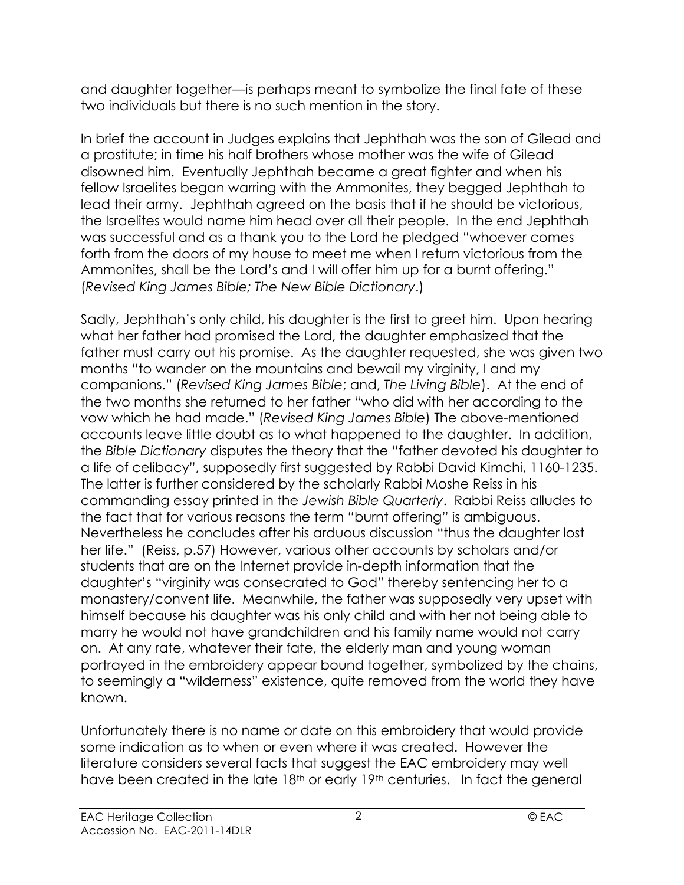and daughter together—is perhaps meant to symbolize the final fate of these two individuals but there is no such mention in the story.

In brief the account in Judges explains that Jephthah was the son of Gilead and a prostitute; in time his half brothers whose mother was the wife of Gilead disowned him. Eventually Jephthah became a great fighter and when his fellow Israelites began warring with the Ammonites, they begged Jephthah to lead their army. Jephthah agreed on the basis that if he should be victorious, the Israelites would name him head over all their people. In the end Jephthah was successful and as a thank you to the Lord he pledged "whoever comes forth from the doors of my house to meet me when I return victorious from the Ammonites, shall be the Lord's and I will offer him up for a burnt offering." (*Revised King James Bible; The New Bible Dictionary*.)

Sadly, Jephthah's only child, his daughter is the first to greet him. Upon hearing what her father had promised the Lord, the daughter emphasized that the father must carry out his promise. As the daughter requested, she was given two months "to wander on the mountains and bewail my virginity, I and my companions." (*Revised King James Bible*; and, *The Living Bible*). At the end of the two months she returned to her father "who did with her according to the vow which he had made." (*Revised King James Bible*) The above-mentioned accounts leave little doubt as to what happened to the daughter. In addition, the *Bible Dictionary* disputes the theory that the "father devoted his daughter to a life of celibacy", supposedly first suggested by Rabbi David Kimchi, 1160-1235. The latter is further considered by the scholarly Rabbi Moshe Reiss in his commanding essay printed in the *Jewish Bible Quarterly*. Rabbi Reiss alludes to the fact that for various reasons the term "burnt offering" is ambiguous. Nevertheless he concludes after his arduous discussion "thus the daughter lost her life." (Reiss, p.57) However, various other accounts by scholars and/or students that are on the Internet provide in-depth information that the daughter's "virginity was consecrated to God" thereby sentencing her to a monastery/convent life. Meanwhile, the father was supposedly very upset with himself because his daughter was his only child and with her not being able to marry he would not have grandchildren and his family name would not carry on. At any rate, whatever their fate, the elderly man and young woman portrayed in the embroidery appear bound together, symbolized by the chains, to seemingly a "wilderness" existence, quite removed from the world they have known.

Unfortunately there is no name or date on this embroidery that would provide some indication as to when or even where it was created. However the literature considers several facts that suggest the EAC embroidery may well have been created in the late 18<sup>th</sup> or early 19<sup>th</sup> centuries. In fact the general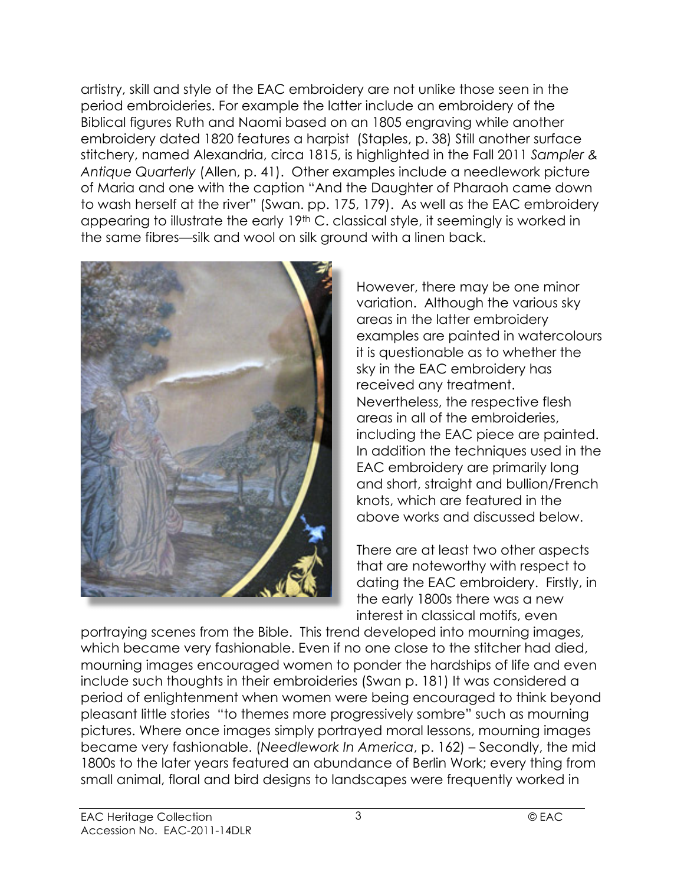artistry, skill and style of the EAC embroidery are not unlike those seen in the period embroideries. For example the latter include an embroidery of the Biblical figures Ruth and Naomi based on an 1805 engraving while another embroidery dated 1820 features a harpist (Staples, p. 38) Still another surface stitchery, named Alexandria, circa 1815, is highlighted in the Fall 2011 *Sampler & Antique Quarterly* (Allen, p. 41). Other examples include a needlework picture of Maria and one with the caption "And the Daughter of Pharaoh came down to wash herself at the river" (Swan. pp. 175, 179). As well as the EAC embroidery appearing to illustrate the early 19<sup>th</sup> C. classical style, it seemingly is worked in the same fibres—silk and wool on silk ground with a linen back.



However, there may be one minor variation. Although the various sky areas in the latter embroidery examples are painted in watercolours it is questionable as to whether the sky in the EAC embroidery has received any treatment. Nevertheless, the respective flesh areas in all of the embroideries, including the EAC piece are painted. In addition the techniques used in the EAC embroidery are primarily long and short, straight and bullion/French knots, which are featured in the above works and discussed below.

There are at least two other aspects that are noteworthy with respect to dating the EAC embroidery. Firstly, in the early 1800s there was a new interest in classical motifs, even

portraying scenes from the Bible. This trend developed into mourning images, which became very fashionable. Even if no one close to the stitcher had died, mourning images encouraged women to ponder the hardships of life and even include such thoughts in their embroideries (Swan p. 181) It was considered a period of enlightenment when women were being encouraged to think beyond pleasant little stories "to themes more progressively sombre" such as mourning pictures. Where once images simply portrayed moral lessons, mourning images became very fashionable. (*Needlework In America*, p. 162) – Secondly, the mid 1800s to the later years featured an abundance of Berlin Work; every thing from small animal, floral and bird designs to landscapes were frequently worked in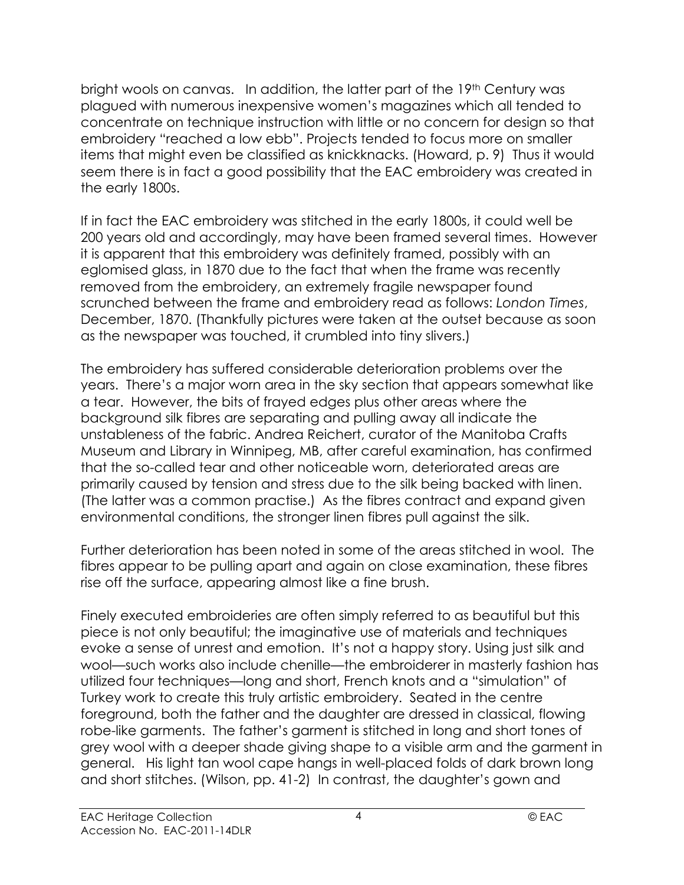bright wools on canvas. In addition, the latter part of the 19<sup>th</sup> Century was plagued with numerous inexpensive women's magazines which all tended to concentrate on technique instruction with little or no concern for design so that embroidery "reached a low ebb". Projects tended to focus more on smaller items that might even be classified as knickknacks. (Howard, p. 9) Thus it would seem there is in fact a good possibility that the EAC embroidery was created in the early 1800s.

If in fact the EAC embroidery was stitched in the early 1800s, it could well be 200 years old and accordingly, may have been framed several times. However it is apparent that this embroidery was definitely framed, possibly with an eglomised glass, in 1870 due to the fact that when the frame was recently removed from the embroidery, an extremely fragile newspaper found scrunched between the frame and embroidery read as follows: *London Times*, December, 1870. (Thankfully pictures were taken at the outset because as soon as the newspaper was touched, it crumbled into tiny slivers.)

The embroidery has suffered considerable deterioration problems over the years. There's a major worn area in the sky section that appears somewhat like a tear. However, the bits of frayed edges plus other areas where the background silk fibres are separating and pulling away all indicate the unstableness of the fabric. Andrea Reichert, curator of the Manitoba Crafts Museum and Library in Winnipeg, MB, after careful examination, has confirmed that the so-called tear and other noticeable worn, deteriorated areas are primarily caused by tension and stress due to the silk being backed with linen. (The latter was a common practise.) As the fibres contract and expand given environmental conditions, the stronger linen fibres pull against the silk.

Further deterioration has been noted in some of the areas stitched in wool. The fibres appear to be pulling apart and again on close examination, these fibres rise off the surface, appearing almost like a fine brush.

Finely executed embroideries are often simply referred to as beautiful but this piece is not only beautiful; the imaginative use of materials and techniques evoke a sense of unrest and emotion. It's not a happy story. Using just silk and wool—such works also include chenille—the embroiderer in masterly fashion has utilized four techniques—long and short, French knots and a "simulation" of Turkey work to create this truly artistic embroidery. Seated in the centre foreground, both the father and the daughter are dressed in classical, flowing robe-like garments. The father's garment is stitched in long and short tones of grey wool with a deeper shade giving shape to a visible arm and the garment in general. His light tan wool cape hangs in well-placed folds of dark brown long and short stitches. (Wilson, pp. 41-2) In contrast, the daughter's gown and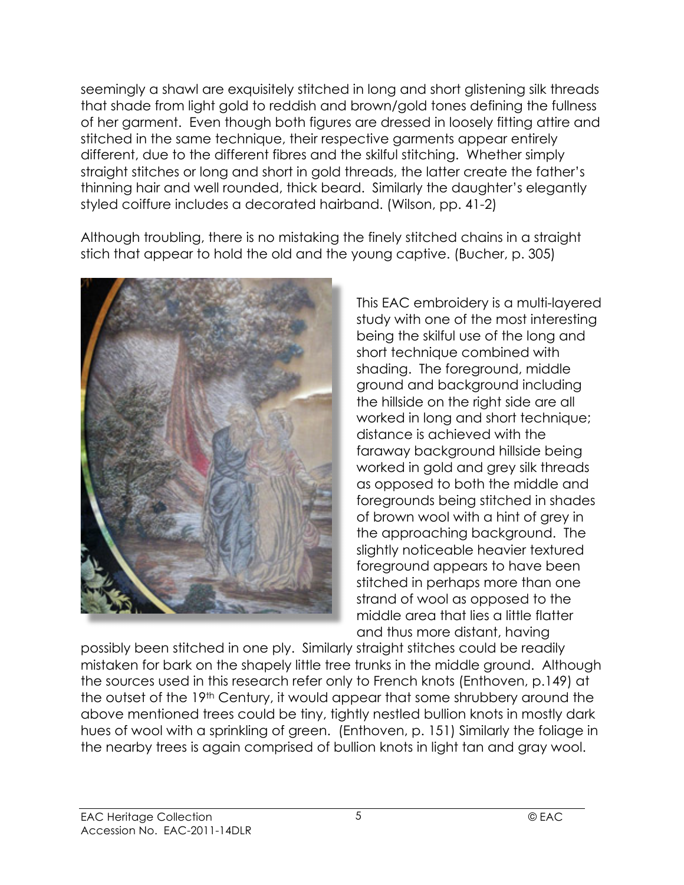seemingly a shawl are exquisitely stitched in long and short glistening silk threads that shade from light gold to reddish and brown/gold tones defining the fullness of her garment. Even though both figures are dressed in loosely fitting attire and stitched in the same technique, their respective garments appear entirely different, due to the different fibres and the skilful stitching. Whether simply straight stitches or long and short in gold threads, the latter create the father's thinning hair and well rounded, thick beard. Similarly the daughter's elegantly styled coiffure includes a decorated hairband. (Wilson, pp. 41-2)

Although troubling, there is no mistaking the finely stitched chains in a straight stich that appear to hold the old and the young captive. (Bucher, p. 305)



This EAC embroidery is a multi-layered study with one of the most interesting being the skilful use of the long and short technique combined with shading. The foreground, middle ground and background including the hillside on the right side are all worked in long and short technique; distance is achieved with the faraway background hillside being worked in gold and grey silk threads as opposed to both the middle and foregrounds being stitched in shades of brown wool with a hint of grey in the approaching background. The slightly noticeable heavier textured foreground appears to have been stitched in perhaps more than one strand of wool as opposed to the middle area that lies a little flatter and thus more distant, having

possibly been stitched in one ply. Similarly straight stitches could be readily mistaken for bark on the shapely little tree trunks in the middle ground. Although the sources used in this research refer only to French knots (Enthoven, p.149) at the outset of the 19th Century, it would appear that some shrubbery around the above mentioned trees could be tiny, tightly nestled bullion knots in mostly dark hues of wool with a sprinkling of green. (Enthoven, p. 151) Similarly the foliage in the nearby trees is again comprised of bullion knots in light tan and gray wool.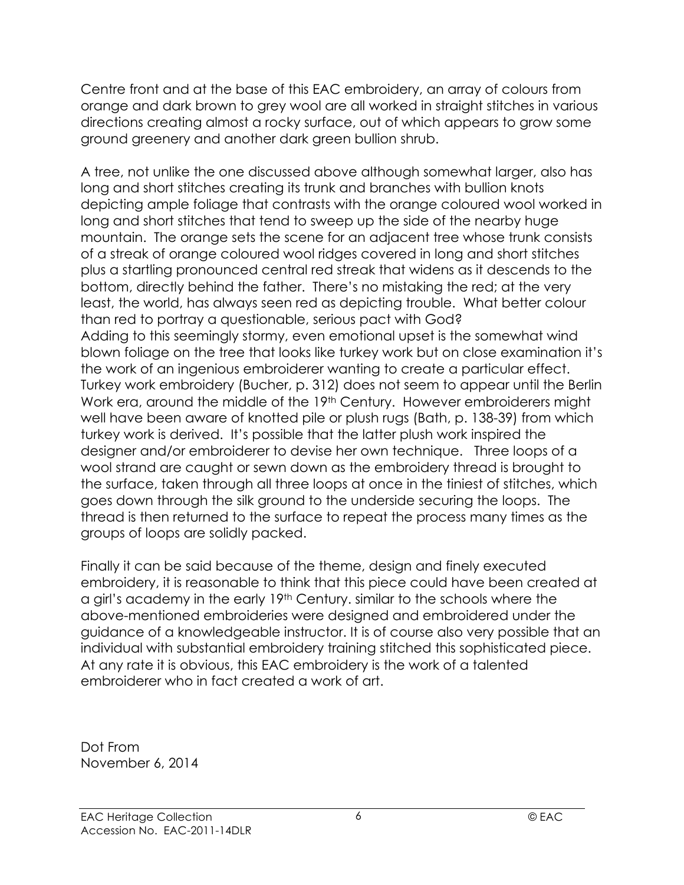Centre front and at the base of this EAC embroidery, an array of colours from orange and dark brown to grey wool are all worked in straight stitches in various directions creating almost a rocky surface, out of which appears to grow some ground greenery and another dark green bullion shrub.

A tree, not unlike the one discussed above although somewhat larger, also has long and short stitches creating its trunk and branches with bullion knots depicting ample foliage that contrasts with the orange coloured wool worked in long and short stitches that tend to sweep up the side of the nearby huge mountain. The orange sets the scene for an adjacent tree whose trunk consists of a streak of orange coloured wool ridges covered in long and short stitches plus a startling pronounced central red streak that widens as it descends to the bottom, directly behind the father. There's no mistaking the red; at the very least, the world, has always seen red as depicting trouble. What better colour than red to portray a questionable, serious pact with God? Adding to this seemingly stormy, even emotional upset is the somewhat wind blown foliage on the tree that looks like turkey work but on close examination it's the work of an ingenious embroiderer wanting to create a particular effect. Turkey work embroidery (Bucher, p. 312) does not seem to appear until the Berlin Work era, around the middle of the 19th Century. However embroiderers might well have been aware of knotted pile or plush rugs (Bath, p. 138-39) from which turkey work is derived. It's possible that the latter plush work inspired the designer and/or embroiderer to devise her own technique. Three loops of a wool strand are caught or sewn down as the embroidery thread is brought to the surface, taken through all three loops at once in the tiniest of stitches, which goes down through the silk ground to the underside securing the loops. The thread is then returned to the surface to repeat the process many times as the groups of loops are solidly packed.

Finally it can be said because of the theme, design and finely executed embroidery, it is reasonable to think that this piece could have been created at a girl's academy in the early 19th Century. similar to the schools where the above-mentioned embroideries were designed and embroidered under the guidance of a knowledgeable instructor. It is of course also very possible that an individual with substantial embroidery training stitched this sophisticated piece. At any rate it is obvious, this EAC embroidery is the work of a talented embroiderer who in fact created a work of art.

Dot From November 6, 2014